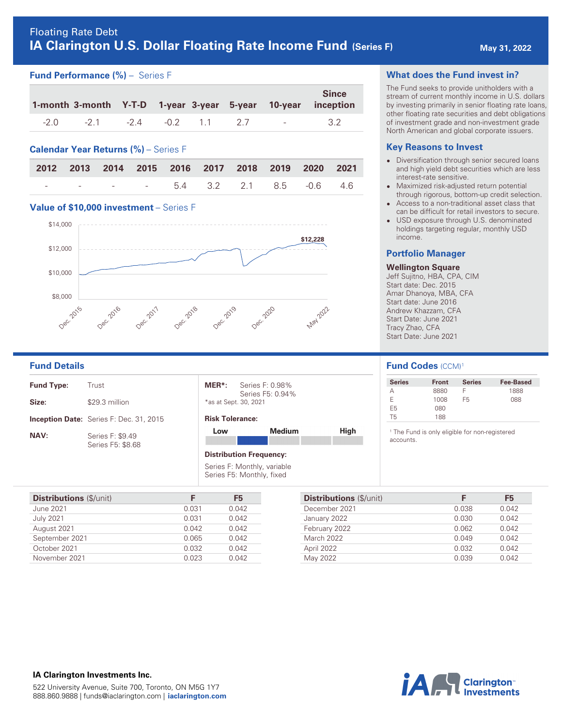# **Fund Performance (%)** – Series F

|        |                |  |     |                      | <b>Since</b><br>1-month 3-month Y-T-D 1-year 3-year 5-year 10-year inception |
|--------|----------------|--|-----|----------------------|------------------------------------------------------------------------------|
| $-2.0$ | -21 -24 -02 11 |  | 2.7 | and the state of the | 3.2                                                                          |

# **Calendar Year Returns (%)** – Series F

|  | 2012 2013 2014 2015 2016 2017 2018 2019 2020 2021 |  |  |  |  |
|--|---------------------------------------------------|--|--|--|--|
|  | $    5.4$ 3.2 2.1 8.5 -0.6 4.6                    |  |  |  |  |

#### **Value of \$10,000 investment** – Series F



| <b>Fund Type:</b> | Trust                                          |
|-------------------|------------------------------------------------|
| Size:             | \$29.3 million                                 |
|                   | <b>Inception Date:</b> Series F: Dec. 31, 2015 |
| <b>NAV:</b>       | Series F: \$9.49<br>Series F5: \$8.68          |

| MER*:                 | Series F: 0.98%  |
|-----------------------|------------------|
|                       | Series F5: 0.94% |
| *as at Sept. 30, 2021 |                  |

#### **Risk Tolerance:**

| Low | <b>Medium</b> | High |
|-----|---------------|------|
|     |               |      |
|     |               |      |

#### **Distribution Frequency:**

Series F: Monthly, variable Series F5: Monthly, fixed

| <b>Distributions</b> (\$/unit) | F     | F <sub>5</sub> |
|--------------------------------|-------|----------------|
| <b>June 2021</b>               | 0.031 | 0.042          |
| <b>July 2021</b>               | 0.031 | 0.042          |
| August 2021                    | 0.042 | 0.042          |
| September 2021                 | 0.065 | 0.042          |
| October 2021                   | 0.032 | 0.042          |
| November 2021                  | 0.023 | 0.042          |

# **What does the Fund invest in?**

The Fund seeks to provide unitholders with a stream of current monthly income in U.S. dollars by investing primarily in senior floating rate loans, other floating rate securities and debt obligations of investment grade and non-investment grade North American and global corporate issuers.

### **Key Reasons to Invest**

- **Diversification through senior secured loans** and high yield debt securities which are less interest-rate sensitive.
- **•** Maximized risk-adjusted return potential through rigorous, bottom-up credit selection.
- Access to a non-traditional asset class that can be difficult for retail investors to secure.
- USD exposure through U.S. denominated holdings targeting regular, monthly USD income.

#### **Portfolio Manager**

#### **Wellington Square**

Jeff Sujitno, HBA, CPA, CIM Start date: Dec. 2015 Amar Dhanoya, MBA, CFA Start date: June 2016 Andrew Khazzam, CFA Start Date: June 2021 Tracy Zhao, CFA Start Date: June 2021

### **Fund Details Fund Codes**  $(CCM)^1$

| <b>Series</b> | <b>Front</b> | <b>Series</b> | Fee-Based |
|---------------|--------------|---------------|-----------|
|               | 8880         |               | 1888      |
| F             | 1008         | F5            | 088       |
| F5            | 080          |               |           |
| Т5            | 188          |               |           |

1 The Fund is only eligible for non-registered accounts.

| <b>Distributions</b> (\$/unit) | F     | F5    |
|--------------------------------|-------|-------|
| December 2021                  | 0.038 | 0.042 |
| January 2022                   | 0.030 | 0.042 |
| February 2022                  | 0.062 | 0.042 |
| March 2022                     | 0.049 | 0.042 |
| April 2022                     | 0.032 | 0.042 |
| May 2022                       | 0.039 | 0.042 |